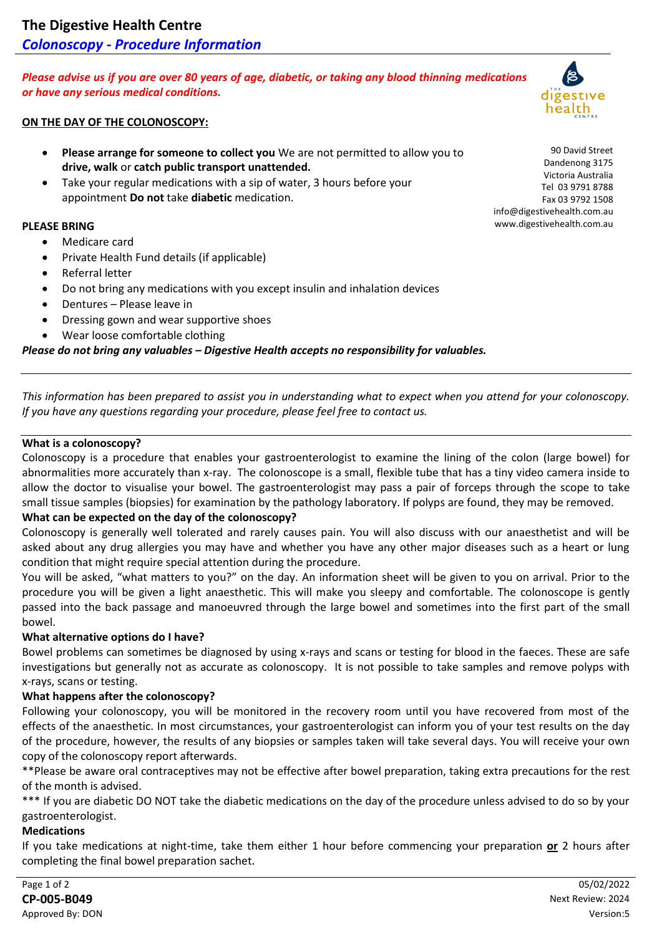*Please advise us if you are over 80 years of age, diabetic, or taking any blood thinning medications or have any serious medical conditions.*

### **ON THE DAY OF THE COLONOSCOPY:**

- **Please arrange for someone to collect you** We are not permitted to allow you to **drive, walk** or **catch public transport unattended.**
- Take your regular medications with a sip of water, 3 hours before your appointment **Do not** take **diabetic** medication.

### **PLEASE BRING**

- Medicare card
- Private Health Fund details (if applicable)
- Referral letter
- Do not bring any medications with you except insulin and inhalation devices
- Dentures Please leave in
- Dressing gown and wear supportive shoes
- Wear loose comfortable clothing

*Please do not bring any valuables – Digestive Health accepts no responsibility for valuables.*

*This information has been prepared to assist you in understanding what to expect when you attend for your colonoscopy. If you have any questions regarding your procedure, please feel free to contact us.*

#### **What is a colonoscopy?**

Colonoscopy is a procedure that enables your gastroenterologist to examine the lining of the colon (large bowel) for abnormalities more accurately than x-ray. The colonoscope is a small, flexible tube that has a tiny video camera inside to allow the doctor to visualise your bowel. The gastroenterologist may pass a pair of forceps through the scope to take small tissue samples (biopsies) for examination by the pathology laboratory. If polyps are found, they may be removed.

### **What can be expected on the day of the colonoscopy?**

Colonoscopy is generally well tolerated and rarely causes pain. You will also discuss with our anaesthetist and will be asked about any drug allergies you may have and whether you have any other major diseases such as a heart or lung condition that might require special attention during the procedure.

You will be asked, "what matters to you?" on the day. An information sheet will be given to you on arrival. Prior to the procedure you will be given a light anaesthetic. This will make you sleepy and comfortable. The colonoscope is gently passed into the back passage and manoeuvred through the large bowel and sometimes into the first part of the small bowel.

### **What alternative options do I have?**

Bowel problems can sometimes be diagnosed by using x-rays and scans or testing for blood in the faeces. These are safe investigations but generally not as accurate as colonoscopy. It is not possible to take samples and remove polyps with x-rays, scans or testing.

### **What happens after the colonoscopy?**

Following your colonoscopy, you will be monitored in the recovery room until you have recovered from most of the effects of the anaesthetic. In most circumstances, your gastroenterologist can inform you of your test results on the day of the procedure, however, the results of any biopsies or samples taken will take several days. You will receive your own copy of the colonoscopy report afterwards.

\*\*Please be aware oral contraceptives may not be effective after bowel preparation, taking extra precautions for the rest of the month is advised.

\*\*\* If you are diabetic DO NOT take the diabetic medications on the day of the procedure unless advised to do so by your gastroenterologist.

### **Medications**

If you take medications at night-time, take them either 1 hour before commencing your preparation **or** 2 hours after completing the final bowel preparation sachet.



90 David Street Dandenong 3175 Victoria Australia Tel 03 9791 8788 Fax 03 9792 1508

info@digestivehealth.com.au www.digestivehealth.com.au